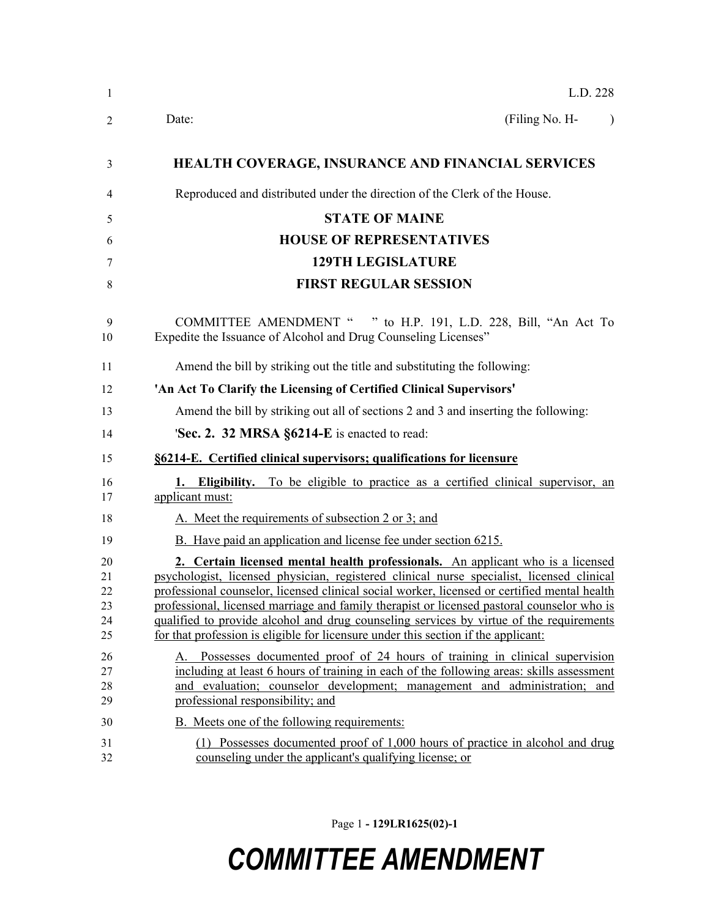| L.D. 228                                                                                                                                                                                                                                                                                                                                                                                                                                                                                                                                                    |
|-------------------------------------------------------------------------------------------------------------------------------------------------------------------------------------------------------------------------------------------------------------------------------------------------------------------------------------------------------------------------------------------------------------------------------------------------------------------------------------------------------------------------------------------------------------|
| Date:<br>(Filing No. H-                                                                                                                                                                                                                                                                                                                                                                                                                                                                                                                                     |
| HEALTH COVERAGE, INSURANCE AND FINANCIAL SERVICES                                                                                                                                                                                                                                                                                                                                                                                                                                                                                                           |
| Reproduced and distributed under the direction of the Clerk of the House.                                                                                                                                                                                                                                                                                                                                                                                                                                                                                   |
| <b>STATE OF MAINE</b>                                                                                                                                                                                                                                                                                                                                                                                                                                                                                                                                       |
| <b>HOUSE OF REPRESENTATIVES</b>                                                                                                                                                                                                                                                                                                                                                                                                                                                                                                                             |
| <b>129TH LEGISLATURE</b>                                                                                                                                                                                                                                                                                                                                                                                                                                                                                                                                    |
| <b>FIRST REGULAR SESSION</b>                                                                                                                                                                                                                                                                                                                                                                                                                                                                                                                                |
| COMMITTEE AMENDMENT " " to H.P. 191, L.D. 228, Bill, "An Act To<br>Expedite the Issuance of Alcohol and Drug Counseling Licenses"                                                                                                                                                                                                                                                                                                                                                                                                                           |
| Amend the bill by striking out the title and substituting the following:                                                                                                                                                                                                                                                                                                                                                                                                                                                                                    |
| 'An Act To Clarify the Licensing of Certified Clinical Supervisors'                                                                                                                                                                                                                                                                                                                                                                                                                                                                                         |
| Amend the bill by striking out all of sections 2 and 3 and inserting the following:                                                                                                                                                                                                                                                                                                                                                                                                                                                                         |
| 'Sec. 2. 32 MRSA §6214-E is enacted to read:                                                                                                                                                                                                                                                                                                                                                                                                                                                                                                                |
| §6214-E. Certified clinical supervisors; qualifications for licensure                                                                                                                                                                                                                                                                                                                                                                                                                                                                                       |
| <b>Eligibility.</b> To be eligible to practice as a certified clinical supervisor, an<br>applicant must:                                                                                                                                                                                                                                                                                                                                                                                                                                                    |
| A. Meet the requirements of subsection 2 or 3; and                                                                                                                                                                                                                                                                                                                                                                                                                                                                                                          |
| B. Have paid an application and license fee under section 6215.                                                                                                                                                                                                                                                                                                                                                                                                                                                                                             |
| 2. Certain licensed mental health professionals. An applicant who is a licensed<br>psychologist, licensed physician, registered clinical nurse specialist, licensed clinical<br>professional counselor, licensed clinical social worker, licensed or certified mental health<br>professional, licensed marriage and family therapist or licensed pastoral counselor who is<br>qualified to provide alcohol and drug counseling services by virtue of the requirements<br>for that profession is eligible for licensure under this section if the applicant: |
| A. Possesses documented proof of 24 hours of training in clinical supervision<br>including at least 6 hours of training in each of the following areas: skills assessment<br>and evaluation; counselor development; management and administration; and<br>professional responsibility; and                                                                                                                                                                                                                                                                  |
| B. Meets one of the following requirements:                                                                                                                                                                                                                                                                                                                                                                                                                                                                                                                 |
| (1) Possesses documented proof of 1,000 hours of practice in alcohol and drug<br>counseling under the applicant's qualifying license; or                                                                                                                                                                                                                                                                                                                                                                                                                    |

Page 1 **- 129LR1625(02)-1**

## *COMMITTEE AMENDMENT*